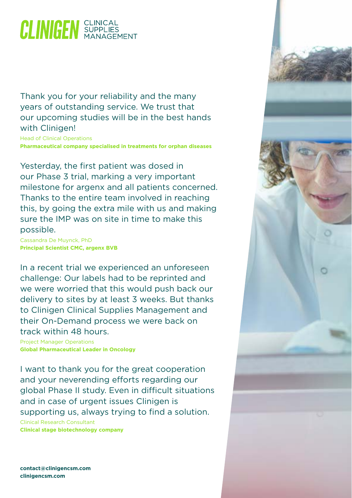## **CLINIGEN** SUPPLIES

Thank you for your reliability and the many years of outstanding service. We trust that our upcoming studies will be in the best hands with Clinigen!

Head of Clinical Operations **Pharmaceutical company specialised in treatments for orphan diseases**

Yesterday, the first patient was dosed in our Phase 3 trial, marking a very important milestone for argenx and all patients concerned. Thanks to the entire team involved in reaching this, by going the extra mile with us and making sure the IMP was on site in time to make this possible.

Cassandra De Muynck, PhD **Principal Scientist CMC, argenx BVB**

In a recent trial we experienced an unforeseen challenge: Our labels had to be reprinted and we were worried that this would push back our delivery to sites by at least 3 weeks. But thanks to Clinigen Clinical Supplies Management and their On-Demand process we were back on track within 48 hours.

Project Manager Operations **Global Pharmaceutical Leader in Oncology**

I want to thank you for the great cooperation and your neverending efforts regarding our global Phase II study. Even in difficult situations and in case of urgent issues Clinigen is supporting us, always trying to find a solution.

Clinical Research Consultant **Clinical stage biotechnology company**



**[contact@clinigencsm.com](mailto:?subject=) [clinigencsm.com](http://www.clinigencsm.com)**